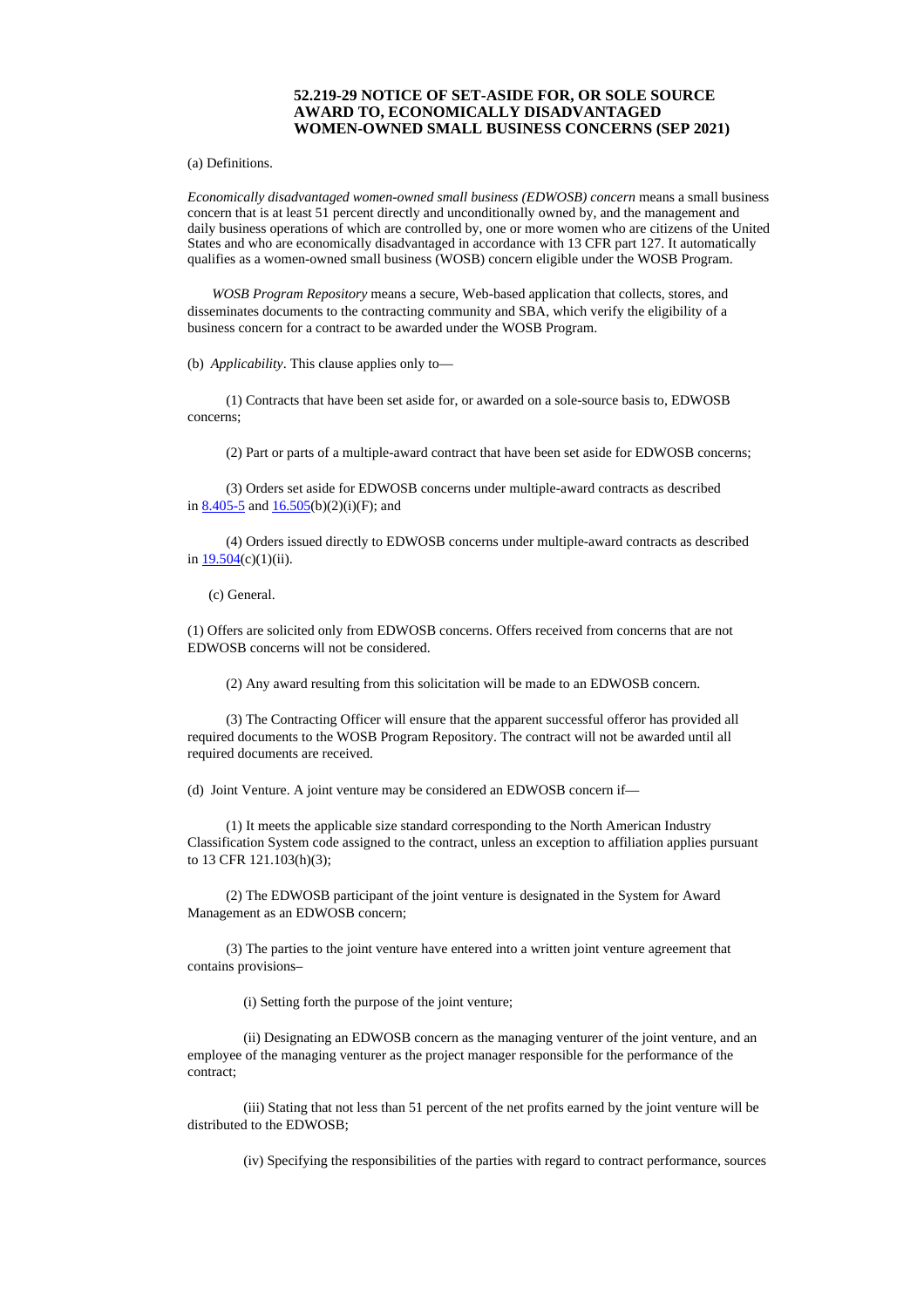## **52.219-29 NOTICE OF SET-ASIDE FOR, OR SOLE SOURCE AWARD TO, ECONOMICALLY DISADVANTAGED WOMEN-OWNED SMALL BUSINESS CONCERNS (SEP 2021)**

(a) Definitions.

*Economically disadvantaged women-owned small business (EDWOSB) concern* means a small business concern that is at least 51 percent directly and unconditionally owned by, and the management and daily business operations of which are controlled by, one or more women who are citizens of the United States and who are economically disadvantaged in accordance with 13 CFR part 127. It automatically qualifies as a women-owned small business (WOSB) concern eligible under the WOSB Program.

*WOSB Program Repository* means a secure, Web-based application that collects, stores, and disseminates documents to the contracting community and SBA, which verify the eligibility of a business concern for a contract to be awarded under the WOSB Program.

(b) *Applicability*. This clause applies only to—

(1) Contracts that have been set aside for, or awarded on a sole-source basis to, EDWOSB concerns;

(2) Part or parts of a multiple-award contract that have been set aside for EDWOSB concerns;

(3) Orders set aside for EDWOSB concerns under multiple-award contracts as described in [8.405-5](https://www.acquisition.gov/far/8.405-5#FAR_8_405_5) and  $16.505(b)(2)(i)(F)$  $16.505(b)(2)(i)(F)$ ; and

(4) Orders issued directly to EDWOSB concerns under multiple-award contracts as described in  $19.504(c)(1)(ii)$  $19.504(c)(1)(ii)$ .

(c) General.

(1) Offers are solicited only from EDWOSB concerns. Offers received from concerns that are not EDWOSB concerns will not be considered.

(2) Any award resulting from this solicitation will be made to an EDWOSB concern.

(3) The Contracting Officer will ensure that the apparent successful offeror has provided all required documents to the WOSB Program Repository. The contract will not be awarded until all required documents are received.

(d) Joint Venture. A joint venture may be considered an EDWOSB concern if—

(1) It meets the applicable size standard corresponding to the North American Industry Classification System code assigned to the contract, unless an exception to affiliation applies pursuant to 13 CFR 121.103(h)(3);

(2) The EDWOSB participant of the joint venture is designated in the System for Award Management as an EDWOSB concern;

(3) The parties to the joint venture have entered into a written joint venture agreement that contains provisions–

(i) Setting forth the purpose of the joint venture;

(ii) Designating an EDWOSB concern as the managing venturer of the joint venture, and an employee of the managing venturer as the project manager responsible for the performance of the contract;

(iii) Stating that not less than 51 percent of the net profits earned by the joint venture will be distributed to the EDWOSB;

(iv) Specifying the responsibilities of the parties with regard to contract performance, sources